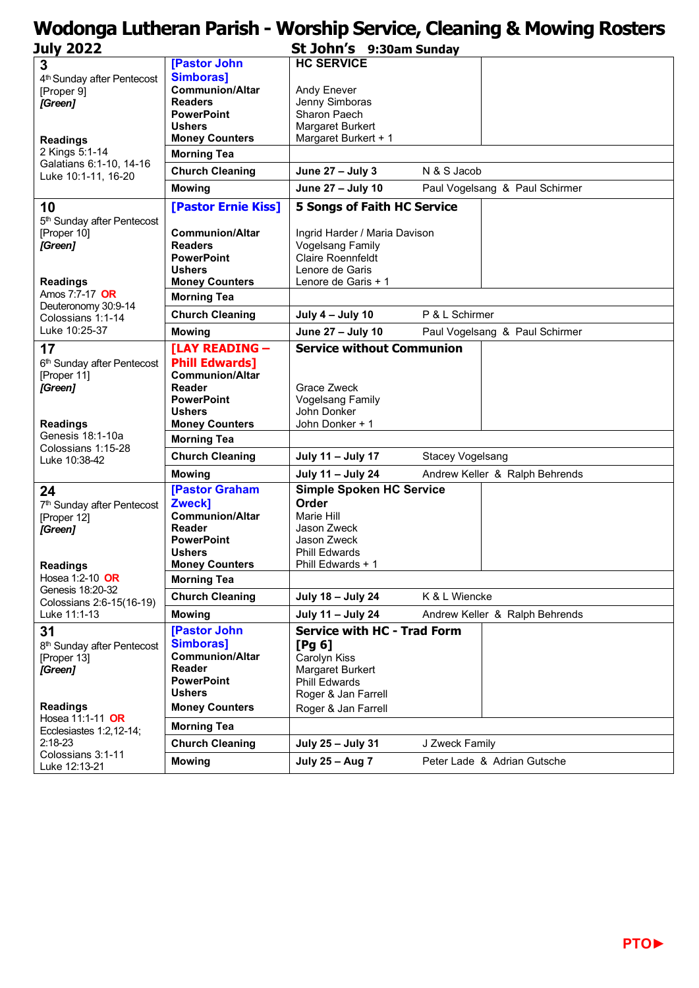## **Wodonga Lutheran Parish - Worship Service, Cleaning & Mowing Rosters**

| July 2022                                                                      |                                        | St John's 9:30am Sunday                   |                                |                                |  |
|--------------------------------------------------------------------------------|----------------------------------------|-------------------------------------------|--------------------------------|--------------------------------|--|
| 3                                                                              | [Pastor John                           | <b>HC SERVICE</b>                         |                                |                                |  |
| 4 <sup>th</sup> Sunday after Pentecost                                         | <b>Simboras]</b>                       |                                           |                                |                                |  |
| [Proper 9]                                                                     | <b>Communion/Altar</b>                 | Andy Enever                               |                                |                                |  |
| [Green]                                                                        | <b>Readers</b>                         | Jenny Simboras                            |                                |                                |  |
|                                                                                | <b>PowerPoint</b>                      | Sharon Paech                              |                                |                                |  |
|                                                                                | <b>Ushers</b>                          | Margaret Burkert                          |                                |                                |  |
| <b>Readings</b>                                                                | <b>Money Counters</b>                  | Margaret Burkert + 1                      |                                |                                |  |
| 2 Kings 5:1-14                                                                 | <b>Morning Tea</b>                     |                                           |                                |                                |  |
| Galatians 6:1-10, 14-16<br>Luke 10:1-11, 16-20                                 | <b>Church Cleaning</b>                 | June 27 - July 3                          | N & S Jacob                    |                                |  |
|                                                                                | <b>Mowing</b>                          | June 27 - July 10                         | Paul Vogelsang & Paul Schirmer |                                |  |
| 10                                                                             | [Pastor Ernie Kiss]                    | <b>5 Songs of Faith HC Service</b>        |                                |                                |  |
| 5 <sup>th</sup> Sunday after Pentecost                                         |                                        |                                           |                                |                                |  |
| [Proper 10]                                                                    | <b>Communion/Altar</b>                 | Ingrid Harder / Maria Davison             |                                |                                |  |
| [Green]                                                                        | <b>Readers</b>                         | <b>Vogelsang Family</b>                   |                                |                                |  |
|                                                                                | <b>PowerPoint</b>                      | <b>Claire Roennfeldt</b>                  |                                |                                |  |
|                                                                                | <b>Ushers</b>                          | Lenore de Garis                           |                                |                                |  |
| <b>Readings</b>                                                                | <b>Money Counters</b>                  | Lenore de Garis + 1                       |                                |                                |  |
| Amos 7:7-17 OR<br>Deuteronomy 30:9-14<br>Colossians 1:1-14<br>Luke 10:25-37    | <b>Morning Tea</b>                     |                                           |                                |                                |  |
|                                                                                | <b>Church Cleaning</b>                 | July 4 – July 10                          | P & L Schirmer                 |                                |  |
|                                                                                | <b>Mowing</b>                          | June 27 - July 10                         |                                | Paul Vogelsang & Paul Schirmer |  |
| 17                                                                             | [LAY READING -                         | <b>Service without Communion</b>          |                                |                                |  |
| 6 <sup>th</sup> Sunday after Pentecost                                         | <b>Phill Edwards]</b>                  |                                           |                                |                                |  |
| [Proper 11]                                                                    | <b>Communion/Altar</b>                 |                                           |                                |                                |  |
| [Green]                                                                        | Reader                                 | <b>Grace Zweck</b>                        |                                |                                |  |
|                                                                                | <b>PowerPoint</b>                      | <b>Vogelsang Family</b><br>John Donker    |                                |                                |  |
|                                                                                | <b>Ushers</b><br><b>Money Counters</b> | John Donker + 1                           |                                |                                |  |
| <b>Readings</b><br>Genesis 18:1-10a                                            |                                        |                                           |                                |                                |  |
| Colossians 1:15-28<br>Luke 10:38-42                                            | <b>Morning Tea</b>                     |                                           |                                |                                |  |
|                                                                                | <b>Church Cleaning</b>                 | July 11 - July 17                         | <b>Stacey Vogelsang</b>        | Andrew Keller & Ralph Behrends |  |
|                                                                                | <b>Mowing</b>                          | July 11 - July 24                         |                                |                                |  |
| 24                                                                             | [Pastor Graham                         | <b>Simple Spoken HC Service</b>           |                                |                                |  |
| 7 <sup>th</sup> Sunday after Pentecost                                         | Zweck]                                 | Order                                     |                                |                                |  |
| [Proper 12]                                                                    | <b>Communion/Altar</b>                 | Marie Hill                                |                                |                                |  |
| [Green]                                                                        | Reader                                 | Jason Zweck                               |                                |                                |  |
|                                                                                | <b>PowerPoint</b>                      | Jason Zweck                               |                                |                                |  |
|                                                                                | <b>Ushers</b><br><b>Money Counters</b> | <b>Phill Edwards</b><br>Phill Edwards + 1 |                                |                                |  |
| <b>Readings</b><br>Hosea 1:2-10 OR                                             | <b>Morning Tea</b>                     |                                           |                                |                                |  |
| Genesis 18:20-32<br>Colossians 2:6-15(16-19)<br>Luke 11:1-13                   | <b>Church Cleaning</b>                 | July 18 - July 24                         | K & L Wiencke                  |                                |  |
|                                                                                | <b>Mowing</b>                          | July 11 - July 24                         |                                | Andrew Keller & Ralph Behrends |  |
| 31                                                                             | [Pastor John                           | <b>Service with HC - Trad Form</b>        |                                |                                |  |
| 8 <sup>th</sup> Sunday after Pentecost                                         | <b>Simboras]</b>                       | [Pg 6]                                    |                                |                                |  |
| [Proper 13]                                                                    | <b>Communion/Altar</b>                 | Carolyn Kiss                              |                                |                                |  |
| [Green]                                                                        | Reader                                 | Margaret Burkert                          |                                |                                |  |
|                                                                                | <b>PowerPoint</b>                      | <b>Phill Edwards</b>                      |                                |                                |  |
|                                                                                | <b>Ushers</b>                          | Roger & Jan Farrell                       |                                |                                |  |
| <b>Readings</b><br>Hosea 11:1-11 OR<br>Ecclesiastes 1:2, 12-14;<br>$2:18 - 23$ | <b>Money Counters</b>                  | Roger & Jan Farrell                       |                                |                                |  |
|                                                                                | <b>Morning Tea</b>                     |                                           |                                |                                |  |
|                                                                                | <b>Church Cleaning</b>                 | July 25 - July 31                         | J Zweck Family                 |                                |  |
| Colossians 3:1-11<br>Luke 12:13-21                                             | <b>Mowing</b>                          | July 25 - Aug 7                           |                                | Peter Lade & Adrian Gutsche    |  |